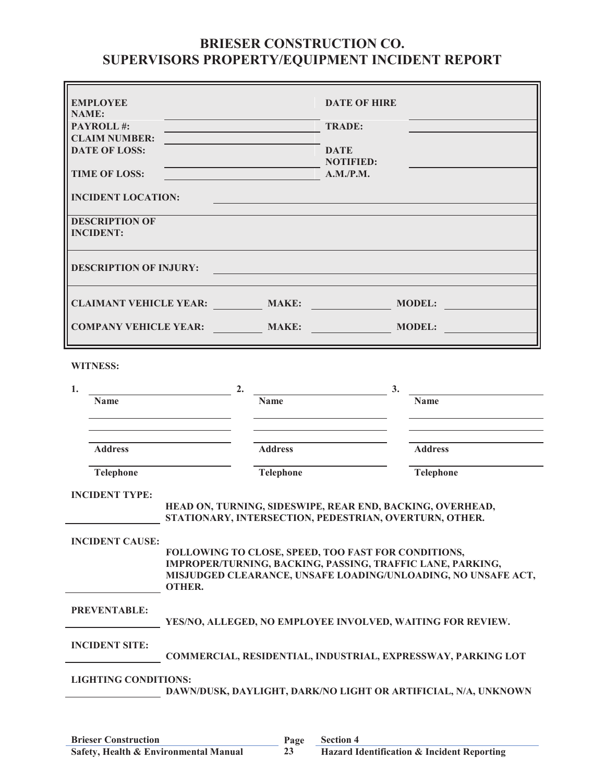## **BRIESER CONSTRUCTION CO. SUPERVISORS PROPERTY/EQUIPMENT INCIDENT REPORT**

| <b>EMPLOYEE</b><br><b>NAME:</b><br>PAYROLL#:<br><b>CLAIM NUMBER:</b><br><b>DATE OF LOSS:</b><br><b>TIME OF LOSS:</b><br><b>INCIDENT LOCATION:</b><br><b>DESCRIPTION OF</b> | <b>DATE OF HIRE</b><br><u> Andrew Maria (1989)</u><br><b>TRADE:</b><br><b>DATE</b><br><b>NOTIFIED:</b><br><u> 1989 - Johann Barbara, martxa eta politikar</u><br>A.M./P.M.<br><u> 1990 - Jan Barnett, fransk politik (</u> |                   |  |  |
|----------------------------------------------------------------------------------------------------------------------------------------------------------------------------|----------------------------------------------------------------------------------------------------------------------------------------------------------------------------------------------------------------------------|-------------------|--|--|
| <b>INCIDENT:</b><br><b>DESCRIPTION OF INJURY:</b>                                                                                                                          | <u> 1989 - Johann Barbara, martxa amerikan personal (h. 1989).</u>                                                                                                                                                         |                   |  |  |
|                                                                                                                                                                            | CLAIMANT VEHICLE YEAR: MAKE: MAKE: MODEL:<br>COMPANY VEHICLE YEAR: MAKE: MAKE: MODEL: ___                                                                                                                                  |                   |  |  |
| <b>WITNESS:</b>                                                                                                                                                            |                                                                                                                                                                                                                            |                   |  |  |
| 1.<br><u> 1980 - Johann Barn, mars eta bainar eta baina eta baina eta baina eta baina eta baina eta baina eta baina e</u><br><b>Name</b>                                   | 2.<br><b>Name</b><br><u> 1989 - Johann Stein, mars an t-Amerikaansk kommunister (* 1908)</u>                                                                                                                               | 3.<br><b>Name</b> |  |  |
| <b>Address</b>                                                                                                                                                             | <b>Address</b>                                                                                                                                                                                                             | <b>Address</b>    |  |  |
| <b>Telephone</b>                                                                                                                                                           | Telephone                                                                                                                                                                                                                  | Telephone         |  |  |
| <b>INCIDENT TYPE:</b>                                                                                                                                                      | HEAD ON, TURNING, SIDESWIPE, REAR END, BACKING, OVERHEAD,<br>STATIONARY, INTERSECTION, PEDESTRIAN, OVERTURN, OTHER.                                                                                                        |                   |  |  |
| <b>INCIDENT CAUSE:</b><br><b>OTHER.</b>                                                                                                                                    | FOLLOWING TO CLOSE, SPEED, TOO FAST FOR CONDITIONS,<br>IMPROPER/TURNING, BACKING, PASSING, TRAFFIC LANE, PARKING,<br>MISJUDGED CLEARANCE, UNSAFE LOADING/UNLOADING, NO UNSAFE ACT,                                         |                   |  |  |
| <b>PREVENTABLE:</b>                                                                                                                                                        | YES/NO, ALLEGED, NO EMPLOYEE INVOLVED, WAITING FOR REVIEW.                                                                                                                                                                 |                   |  |  |
| <b>INCIDENT SITE:</b>                                                                                                                                                      | COMMERCIAL, RESIDENTIAL, INDUSTRIAL, EXPRESSWAY, PARKING LOT                                                                                                                                                               |                   |  |  |
| <b>LIGHTING CONDITIONS:</b><br>DAWN/DUSK, DAYLIGHT, DARK/NO LIGHT OR ARTIFICIAL, N/A, UNKNOWN                                                                              |                                                                                                                                                                                                                            |                   |  |  |
|                                                                                                                                                                            |                                                                                                                                                                                                                            |                   |  |  |